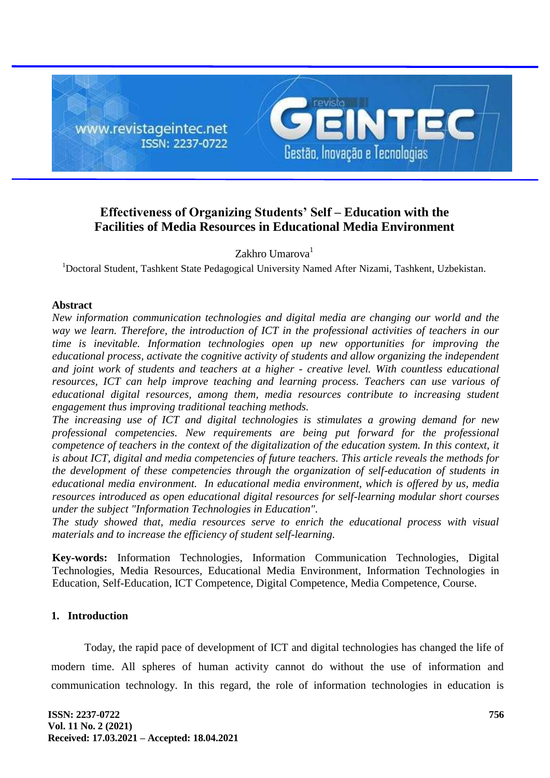

# **Effectiveness of Organizing Students' Self – Education with the Facilities of Media Resources in Educational Media Environment**

Zakhro Umarova<sup>1</sup>

<sup>1</sup>Doctoral Student, Tashkent State Pedagogical University Named After Nizami, Tashkent, Uzbekistan.

### **Abstract**

*New information communication technologies and digital media are changing our world and the way we learn. Therefore, the introduction of ICT in the professional activities of teachers in our time is inevitable. Information technologies open up new opportunities for improving the educational process, activate the cognitive activity of students and allow organizing the independent and joint work of students and teachers at a higher - creative level. With countless educational resources, ICT can help improve teaching and learning process. Teachers can use various of educational digital resources, among them, media resources contribute to increasing student engagement thus improving traditional teaching methods.*

*The increasing use of ICT and digital technologies is stimulates a growing demand for new professional competencies. New requirements are being put forward for the professional competence of teachers in the context of the digitalization of the education system. In this context, it is about ICT, digital and media competencies of future teachers. This article reveals the methods for the development of these competencies through the organization of self-education of students in educational media environment. In educational media environment, which is offered by us, media resources introduced as open educational digital resources for self-learning modular short courses under the subject "Information Technologies in Education".* 

*The study showed that, media resources serve to enrich the educational process with visual materials and to increase the efficiency of student self-learning.*

**Key-words:** Information Technologies, Information Communication Technologies, Digital Technologies, Media Resources, Educational Media Environment, Information Technologies in Education, Self-Education, ICT Competence, Digital Competence, Media Competence, Course.

## **1. Introduction**

Today, the rapid pace of development of ICT and digital technologies has changed the life of modern time. All spheres of human activity cannot do without the use of information and communication technology. In this regard, the role of information technologies in education is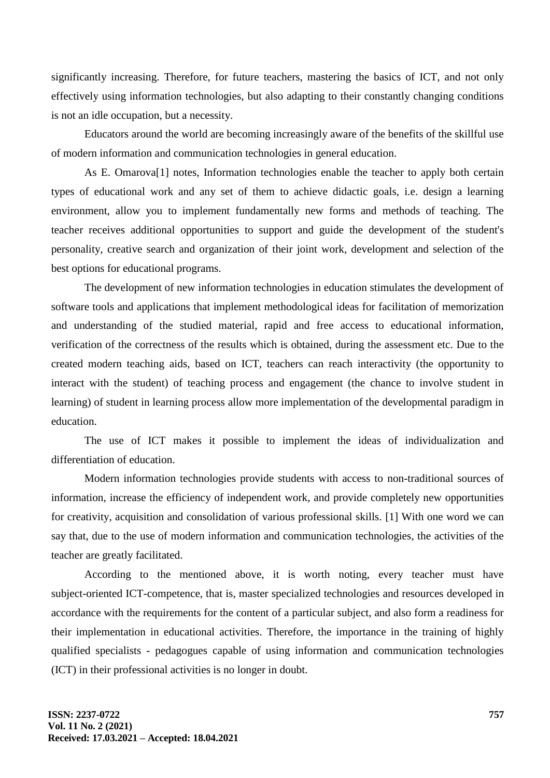significantly increasing. Therefore, for future teachers, mastering the basics of ICT, and not only effectively using information technologies, but also adapting to their constantly changing conditions is not an idle occupation, but a necessity.

Educators around the world are becoming increasingly aware of the benefits of the skillful use of modern information and communication technologies in general education.

As E. Omarova[1] notes, Information technologies enable the teacher to apply both certain types of educational work and any set of them to achieve didactic goals, i.e. design a learning environment, allow you to implement fundamentally new forms and methods of teaching. The teacher receives additional opportunities to support and guide the development of the student's personality, creative search and organization of their joint work, development and selection of the best options for educational programs.

The development of new information technologies in education stimulates the development of software tools and applications that implement methodological ideas for facilitation of memorization and understanding of the studied material, rapid and free access to educational information, verification of the correctness of the results which is obtained, during the assessment etc. Due to the created modern teaching aids, based on ICT, teachers can reach interactivity (the opportunity to interact with the student) of teaching process and engagement (the chance to involve student in learning) of student in learning process allow more implementation of the developmental paradigm in education.

The use of ICT makes it possible to implement the ideas of individualization and differentiation of education.

Modern information technologies provide students with access to non-traditional sources of information, increase the efficiency of independent work, and provide completely new opportunities for creativity, acquisition and consolidation of various professional skills. [1] With one word we can say that, due to the use of modern information and communication technologies, the activities of the teacher are greatly facilitated.

According to the mentioned above, it is worth noting, every teacher must have subject-oriented ICT-competence, that is, master specialized technologies and resources developed in accordance with the requirements for the content of a particular subject, and also form a readiness for their implementation in educational activities. Therefore, the importance in the training of highly qualified specialists - pedagogues capable of using information and communication technologies (ICT) in their professional activities is no longer in doubt.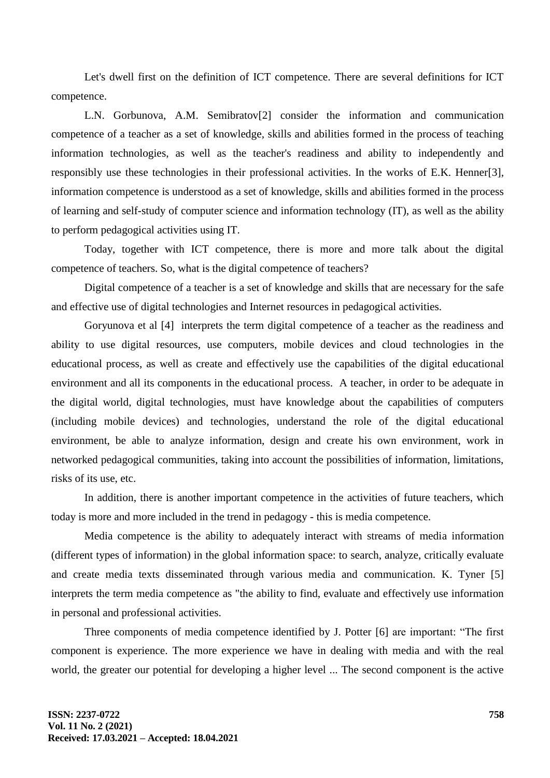Let's dwell first on the definition of ICT competence. There are several definitions for ICT competence.

L.N. Gorbunova, A.M. Semibratov[2] consider the information and communication competence of a teacher as a set of knowledge, skills and abilities formed in the process of teaching information technologies, as well as the teacher's readiness and ability to independently and responsibly use these technologies in their professional activities. In the works of E.K. Henner[3], information competence is understood as a set of knowledge, skills and abilities formed in the process of learning and self-study of computer science and information technology (IT), as well as the ability to perform pedagogical activities using IT.

Today, together with ICT competence, there is more and more talk about the digital competence of teachers. So, what is the digital competence of teachers?

Digital competence of a teacher is a set of knowledge and skills that are necessary for the safe and effective use of digital technologies and Internet resources in pedagogical activities.

Goryunova et al [4] interprets the term digital competence of a teacher as the readiness and ability to use digital resources, use computers, mobile devices and cloud technologies in the educational process, as well as create and effectively use the capabilities of the digital educational environment and all its components in the educational process. A teacher, in order to be adequate in the digital world, digital technologies, must have knowledge about the capabilities of computers (including mobile devices) and technologies, understand the role of the digital educational environment, be able to analyze information, design and create his own environment, work in networked pedagogical communities, taking into account the possibilities of information, limitations, risks of its use, etc.

In addition, there is another important competence in the activities of future teachers, which today is more and more included in the trend in pedagogy - this is media competence.

Media competence is the ability to adequately interact with streams of media information (different types of information) in the global information space: to search, analyze, critically evaluate and create media texts disseminated through various media and communication. K. Tyner [5] interprets the term media competence as "the ability to find, evaluate and effectively use information in personal and professional activities.

Three components of media competence identified by J. Potter [6] are important: "The first component is experience. The more experience we have in dealing with media and with the real world, the greater our potential for developing a higher level ... The second component is the active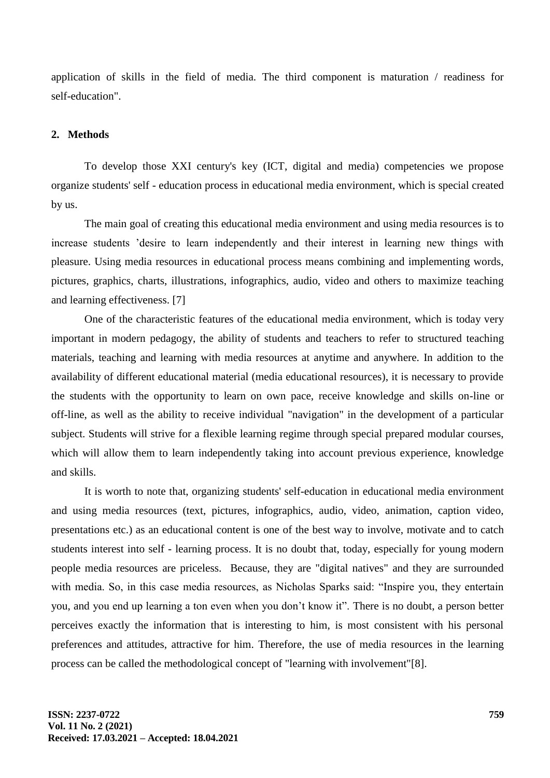application of skills in the field of media. The third component is maturation / readiness for self-education".

## **2. Methods**

To develop those XXI century's key (ICT, digital and media) competencies we propose organize students' self - education process in educational media environment, which is special created by us.

The main goal of creating this educational media environment and using media resources is to increase students 'desire to learn independently and their interest in learning new things with pleasure. Using media resources in educational process means combining and implementing words, pictures, graphics, charts, illustrations, infographics, audio, video and others to maximize teaching and learning effectiveness. [7]

One of the characteristic features of the educational media environment, which is today very important in modern pedagogy, the ability of students and teachers to refer to structured teaching materials, teaching and learning with media resources at anytime and anywhere. In addition to the availability of different educational material (media educational resources), it is necessary to provide the students with the opportunity to learn on own pace, receive knowledge and skills on-line or off-line, as well as the ability to receive individual "navigation" in the development of a particular subject. Students will strive for a flexible learning regime through special prepared modular courses, which will allow them to learn independently taking into account previous experience, knowledge and skills.

It is worth to note that, organizing students' self-education in educational media environment and using media resources (text, pictures, infographics, audio, video, animation, caption video, presentations etc.) as an educational content is one of the best way to involve, motivate and to catch students interest into self - learning process. It is no doubt that, today, especially for young modern people media resources are priceless. Because, they are "digital natives" and they are surrounded with media. So, in this case media resources, as Nicholas Sparks said: "Inspire you, they entertain you, and you end up learning a ton even when you don't know it". There is no doubt, a person better perceives exactly the information that is interesting to him, is most consistent with his personal preferences and attitudes, attractive for him. Therefore, the use of media resources in the learning process can be called the methodological concept of "learning with involvement"[8].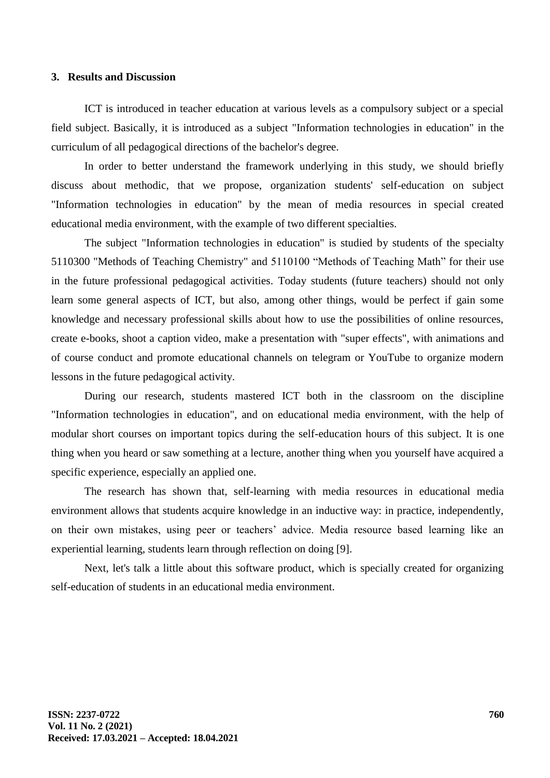#### **3. Results and Discussion**

ICT is introduced in teacher education at various levels as a compulsory subject or a special field subject. Basically, it is introduced as a subject "Information technologies in education" in the curriculum of all pedagogical directions of the bachelor's degree.

In order to better understand the framework underlying in this study, we should briefly discuss about methodic, that we propose, organization students' self-education on subject "Information technologies in education" by the mean of media resources in special created educational media environment, with the example of two different specialties.

The subject "Information technologies in education" is studied by students of the specialty 5110300 "Methods of Teaching Chemistry" and 5110100 "Methods of Teaching Math" for their use in the future professional pedagogical activities. Today students (future teachers) should not only learn some general aspects of ICT, but also, among other things, would be perfect if gain some knowledge and necessary professional skills about how to use the possibilities of online resources, create e-books, shoot a caption video, make a presentation with "super effects", with animations and of course conduct and promote educational channels on telegram or YouTube to organize modern lessons in the future pedagogical activity.

During our research, students mastered ICT both in the classroom on the discipline "Information technologies in education", and on educational media environment, with the help of modular short courses on important topics during the self-education hours of this subject. It is one thing when you heard or saw something at a lecture, another thing when you yourself have acquired a specific experience, especially an applied one.

The research has shown that, self-learning with media resources in educational media environment allows that students acquire knowledge in an inductive way: in practice, independently, on their own mistakes, using peer or teachers' advice. Media resource based learning like an experiential learning, students learn through reflection on doing [9].

Next, let's talk a little about this software product, which is specially created for organizing self-education of students in an educational media environment.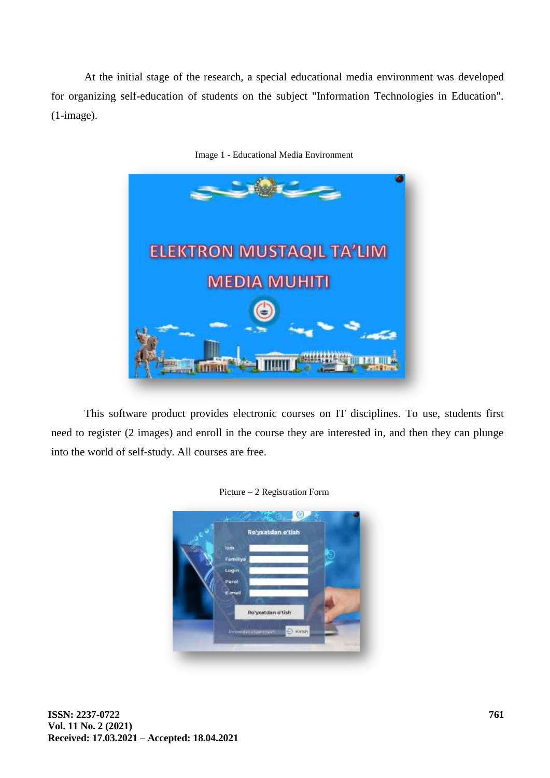At the initial stage of the research, a special educational media environment was developed for organizing self-education of students on the subject "Information Technologies in Education". (1-image).



Image 1 - Educational Media Environment

This software product provides electronic courses on IT disciplines. To use, students first need to register (2 images) and enroll in the course they are interested in, and then they can plunge into the world of self-study. All courses are free.



Picture – 2 Registration Form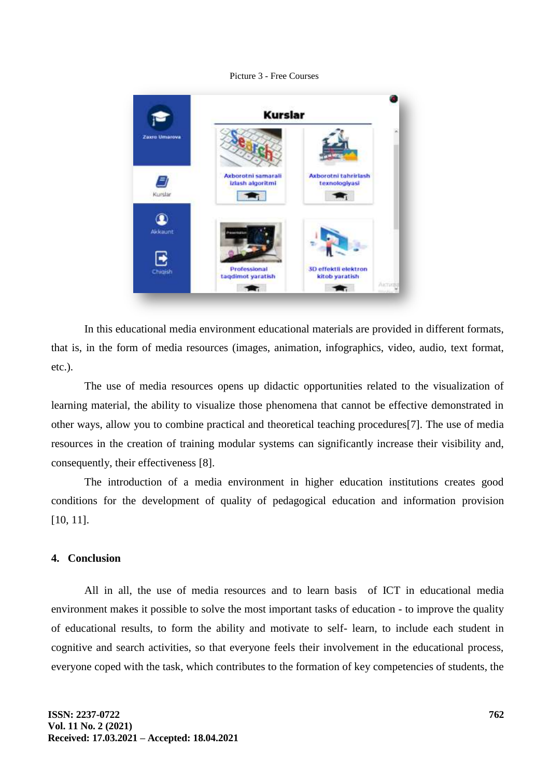#### Picture 3 - Free Courses



In this educational media environment educational materials are provided in different formats, that is, in the form of media resources (images, animation, infographics, video, audio, text format, etc.).

The use of media resources opens up didactic opportunities related to the visualization of learning material, the ability to visualize those phenomena that cannot be effective demonstrated in other ways, allow you to combine practical and theoretical teaching procedures[7]. The use of media resources in the creation of training modular systems can significantly increase their visibility and, consequently, their effectiveness [8].

The introduction of a media environment in higher education institutions creates good conditions for the development of quality of pedagogical education and information provision [10, 11].

### **4. Conclusion**

All in all, the use of media resources and to learn basis of ICT in educational media environment makes it possible to solve the most important tasks of education - to improve the quality of educational results, to form the ability and motivate to self- learn, to include each student in cognitive and search activities, so that everyone feels their involvement in the educational process, everyone coped with the task, which contributes to the formation of key competencies of students, the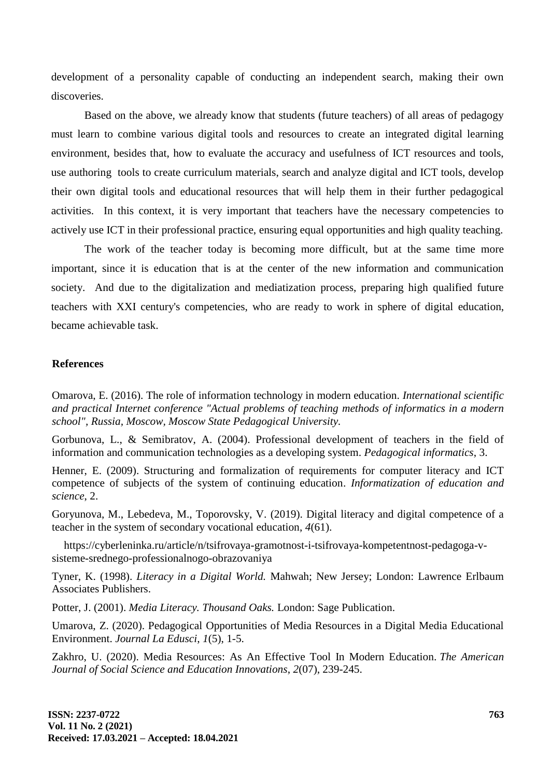development of a personality capable of conducting an independent search, making their own discoveries.

Based on the above, we already know that students (future teachers) of all areas of pedagogy must learn to combine various digital tools and resources to create an integrated digital learning environment, besides that, how to evaluate the accuracy and usefulness of ICT resources and tools, use authoring tools to create curriculum materials, search and analyze digital and ICT tools, develop their own digital tools and educational resources that will help them in their further pedagogical activities. In this context, it is very important that teachers have the necessary competencies to actively use ICT in their professional practice, ensuring equal opportunities and high quality teaching.

The work of the teacher today is becoming more difficult, but at the same time more important, since it is education that is at the center of the new information and communication society. And due to the digitalization and mediatization process, preparing high qualified future teachers with XXI century's competencies, who are ready to work in sphere of digital education, became achievable task.

#### **References**

Omarova, E. (2016). The role of information technology in modern education. *International scientific and practical Internet conference "Actual problems of teaching methods of informatics in a modern school", Russia, Moscow, Moscow State Pedagogical University.*

Gorbunova, L., & Semibratov, A. (2004). Professional development of teachers in the field of information and communication technologies as a developing system. *Pedagogical informatics*, 3.

Henner, E. (2009). Structuring and formalization of requirements for computer literacy and ICT competence of subjects of the system of continuing education. *Informatization of education and science*, 2.

Goryunova, M., Lebedeva, M., Toporovsky, V. (2019). Digital literacy and digital competence of a teacher in the system of secondary vocational education, *4*(61).

https://cyberleninka.ru/article/n/tsifrovaya-gramotnost-i-tsifrovaya-kompetentnost-pedagoga-vsisteme-srednego-professionalnogo-obrazovaniya

Tyner, K. (1998). *Literacy in a Digital World.* Mahwah; New Jersey; London: Lawrence Erlbaum Associates Publishers.

Potter, J. (2001). *Media Literacy. Thousand Oaks.* London: Sage Publication.

Umarova, Z. (2020). Pedagogical Opportunities of Media Resources in a Digital Media Educational Environment. *Journal La Edusci*, *1*(5), 1-5.

Zakhro, U. (2020). Media Resources: As An Effective Tool In Modern Education. *The American Journal of Social Science and Education Innovations*, *2*(07), 239-245.